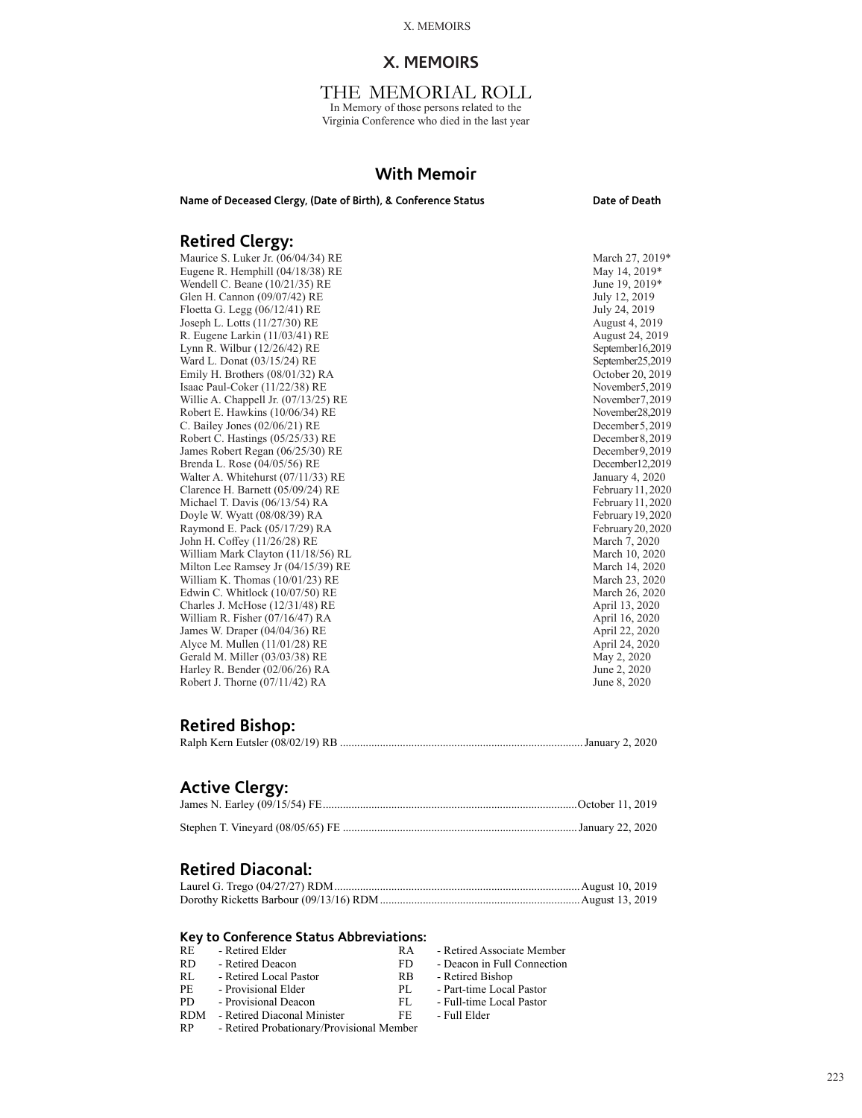# **X. MEMOIRS**

# THE MEMORIAL ROLL

In Memory of those persons related to the Virginia Conference who died in the last year

# **With Memoir**

Name of Deceased Clergy, (Date of Birth), & Conference Status **Date of Death** 

# **Retired Clergy:**

Maurice S. Luker Jr. (06/04/34) RE<br>
Eugene R. Hemphill (04/18/38) RE May 14, 2019\* May 14, 2019\* Eugene R. Hemphill (04/18/38) RE May 14, 2019\*<br>
Wendell C. Beane (10/21/35) RE June 19, 2019\* Wendell C. Beane (10/21/35) RE June 19, 2019<br>
Glen H. Cannon (09/07/42) RE July 12, 2019 Glen H. Cannon (09/07/42) RE July 12, 2019<br>Floetta G. Legg (06/12/41) RE July 24, 2019 Floetta G. Legg (06/12/41) RE<br>
Joseph L. Lotts (11/27/30) RE<br>
August 4, 2019 Joseph L. Lotts (11/27/30) RE<br>
R. Eugene Larkin (11/03/41) RE<br>
August 24, 2019<br>
August 24, 2019 R. Eugene Larkin (11/03/41) RE<br>
Lynn R. Wilbur (12/26/42) RE<br>
September16,2019 Lynn R. Wilbur (12/26/42) RE September 16, 2019<br>
Ward L. Donat (03/15/24) RE September 25, 2019 Ward L. Donat (03/15/24) RE<br>
Emily H. Brothers (08/01/32) RA<br>
October 20, 2019 Emily H. Brothers (08/01/32) RA October 20, 2019<br>
Isaac Paul-Coker (11/22/38) RE November 5, 2019 Isaac Paul-Coker (11/22/38) RE<br>
Willie A. Chappell Jr. (07/13/25) RE<br>
November 7.2019 Willie A. Chappell Jr. (07/13/25) RE Robert E. Hawkins (10/06/34) RE<br>
C. Bailey Jones (02/06/21) RE December 28, 2019 C. Bailey Jones  $(02/06/21)$  RE Robert C. Hastings (05/25/33) RE<br>
James Robert Regan (06/25/30) RE December 9, 2019 James Robert Regan (06/25/30) RE<br>Brenda L. Rose (04/05/56) RE December 9, 2019<br>December 12, 2019 Brenda L. Rose (04/05/56) RE<br>
Walter A. Whitehurst (07/11/33) RE December 12,2019<br>
January 4, 2020 Walter A. Whitehurst (07/11/33) RE<br>Clarence H. Barnett (05/09/24) RE February 11, 2020 Clarence H. Barnett (05/09/24) RE February 11, 2020<br>Michael T. Davis (06/13/54) RA February 11, 2020 Michael T. Davis (06/13/54) RA February 11, 2020<br>
Doyle W. Wyatt (08/08/39) RA February 19, 2020 Doyle W. Wyatt (08/08/39) RA February 19, 2020<br>
Raymond E. Pack (05/17/29) RA February 20, 2020 Raymond E. Pack (05/17/29) RA February 20, 2020<br>
John H. Coffey (11/26/28) RE March 7, 2020 John H. Coffey (11/26/28) RE<br>
Warch 7, 2020<br>
March 10, 2020<br>
March 10, 2020 William Mark Clayton (11/18/56) RL<br>
Milton Lee Ramsey Jr (04/15/39) RE<br>
March 14, 2020 Milton Lee Ramsey Jr (04/15/39) RE<br>
William K. Thomas (10/01/23) RE March 23, 2020 William K. Thomas (10/01/23) RE March 23, 2020<br>Edwin C. Whitlock (10/07/50) RE March 26, 2020 Edwin C. Whitlock (10/07/50) RE March 26, 2020<br>Charles J. McHose (12/31/48) RE April 13, 2020 Charles J. McHose (12/31/48) RE April 13, 2020<br>
William R. Fisher (07/16/47) RA April 16, 2020 William R. Fisher (07/16/47) RA <br>
James W. Draper (04/04/36) RE April 22, 2020 James W. Draper (04/04/36) RE<br>
April 22, 2020<br>
Alyce M. Mullen (11/01/28) RE<br>
April 24, 2020 Alyce M. Mullen (11/01/28) RE<br>
Gerald M. Miller (03/03/38) RE<br>
May 2, 2020 Gerald M. Miller (03/03/38) RE May 2, 2020<br>
Harley R. Bender (02/06/26) RA June 2, 2020 Harley R. Bender (02/06/26) RA June 2, 2020<br>
Robert J. Thorne (07/11/42) RA June 8, 2020 Robert J. Thorne  $(07/11/42)$  RA

# **Retired Bishop:**

|--|--|--|--|--|--|--|

# **Active Clergy:**

# **Retired Diaconal:**

# **Key to Conference Status Abbreviations:**

| <b>RE</b>  | - Retired Elder<br>RA                  |  |
|------------|----------------------------------------|--|
| <b>RD</b>  | - Retired Deacon<br>FD                 |  |
| RL         | - Retired Local Pastor<br>RB           |  |
| PE.        | - Provisional Elder<br>PL.             |  |
| PD.        | - Provisional Deacon<br>FL.            |  |
| <b>RDM</b> | - Retired Diaconal Minister<br>FF.     |  |
| <b>DD</b>  | Detired Drehetiener Drevisienel Mamber |  |

Retired Associate Member Deacon in Full Connection

- Retired Bishop
- Part-time Local Pastor
- Full-time Local Pastor

Full Elder

223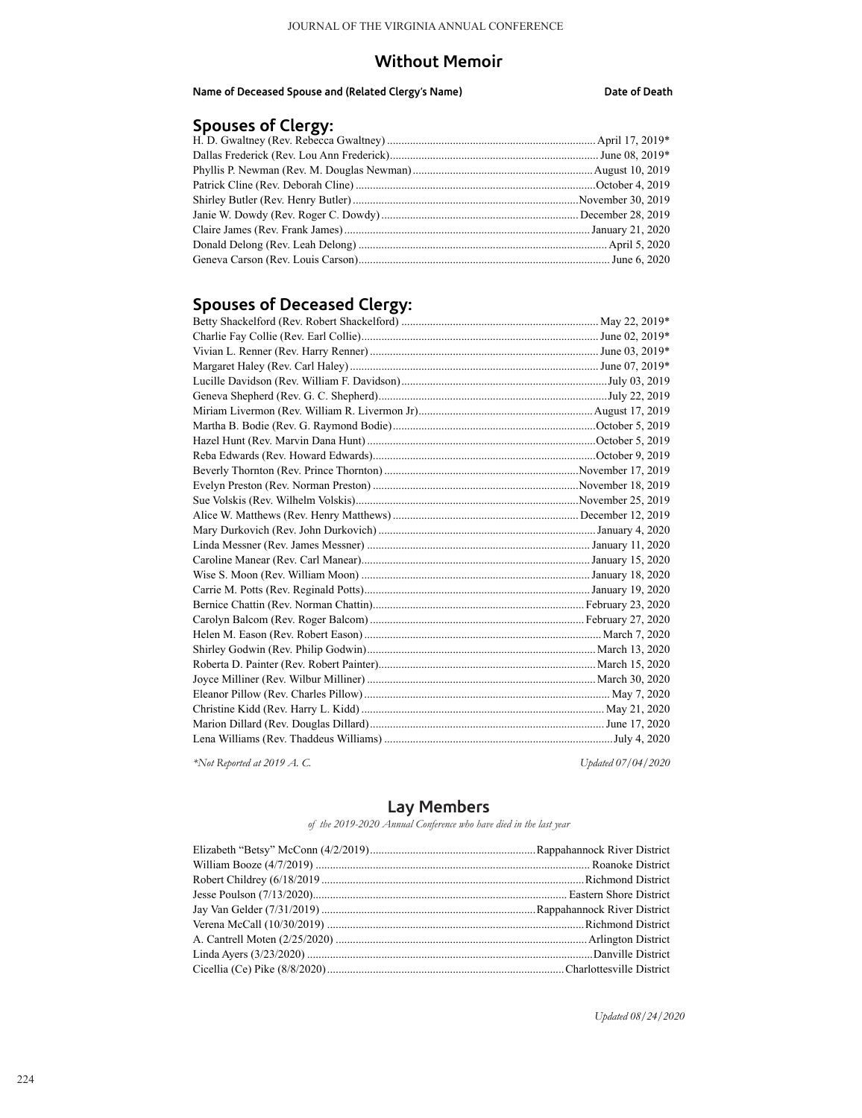# **Without Memoir**

**Name of Deceased Spouse and (Related Clergy's Name) Date of Death**

# **Spouses of Clergy:**

# **Spouses of Deceased Clergy:**

*\*Not Reported at 2019 A. C. Updated 07/04/2020*

# **Lay Members**

*of the 2019-2020 Annual Conference who have died in the last year*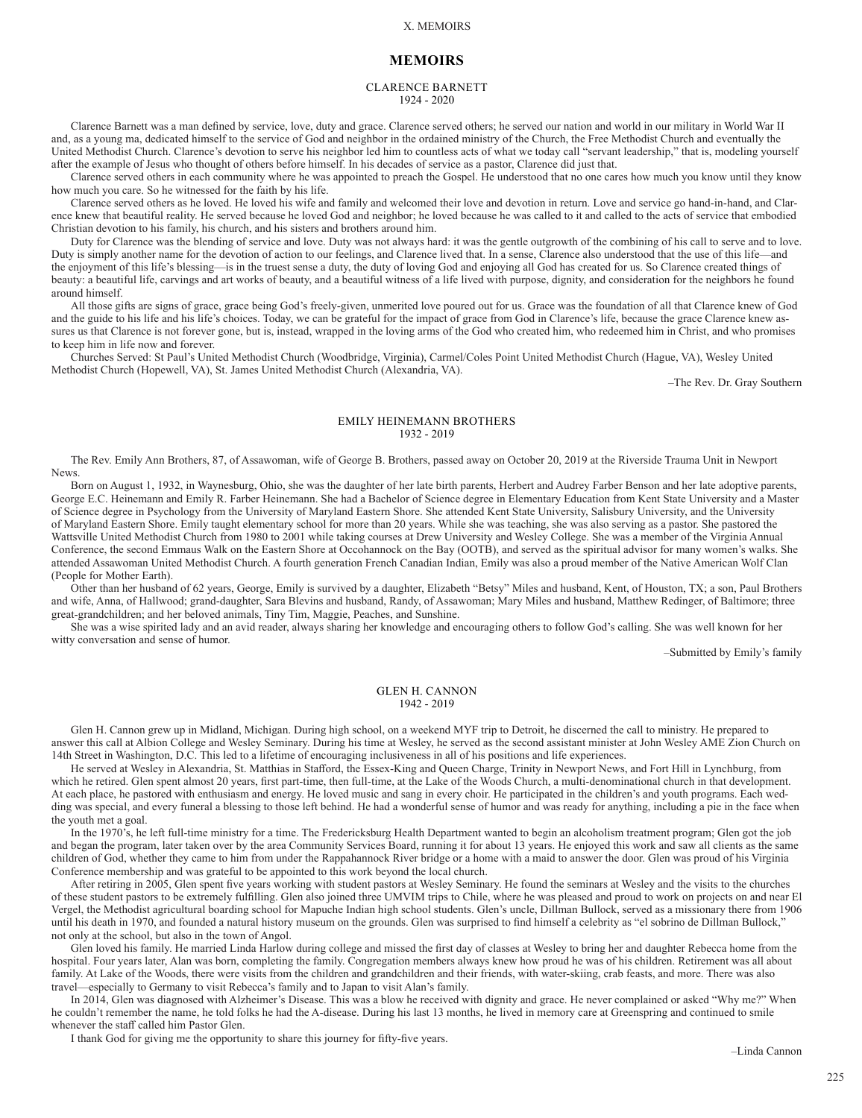# **MEMOIRS**

# CLARENCE BARNETT 1924 - 2020

Clarence Barnett was a man defined by service, love, duty and grace. Clarence served others; he served our nation and world in our military in World War II and, as a young ma, dedicated himself to the service of God and neighbor in the ordained ministry of the Church, the Free Methodist Church and eventually the United Methodist Church. Clarence's devotion to serve his neighbor led him to countless acts of what we today call "servant leadership," that is, modeling yourself after the example of Jesus who thought of others before himself. In his decades of service as a pastor, Clarence did just that.

Clarence served others in each community where he was appointed to preach the Gospel. He understood that no one cares how much you know until they know how much you care. So he witnessed for the faith by his life.

Clarence served others as he loved. He loved his wife and family and welcomed their love and devotion in return. Love and service go hand-in-hand, and Clarence knew that beautiful reality. He served because he loved God and neighbor; he loved because he was called to it and called to the acts of service that embodied Christian devotion to his family, his church, and his sisters and brothers around him.

Duty for Clarence was the blending of service and love. Duty was not always hard: it was the gentle outgrowth of the combining of his call to serve and to love. Duty is simply another name for the devotion of action to our feelings, and Clarence lived that. In a sense, Clarence also understood that the use of this life—and the enjoyment of this life's blessing—is in the truest sense a duty, the duty of loving God and enjoying all God has created for us. So Clarence created things of beauty: a beautiful life, carvings and art works of beauty, and a beautiful witness of a life lived with purpose, dignity, and consideration for the neighbors he found around himself.

All those gifts are signs of grace, grace being God's freely-given, unmerited love poured out for us. Grace was the foundation of all that Clarence knew of God and the guide to his life and his life's choices. Today, we can be grateful for the impact of grace from God in Clarence's life, because the grace Clarence knew assures us that Clarence is not forever gone, but is, instead, wrapped in the loving arms of the God who created him, who redeemed him in Christ, and who promises to keep him in life now and forever.

Churches Served: St Paul's United Methodist Church (Woodbridge, Virginia), Carmel/Coles Point United Methodist Church (Hague, VA), Wesley United Methodist Church (Hopewell, VA), St. James United Methodist Church (Alexandria, VA).

–The Rev. Dr. Gray Southern

# EMILY HEINEMANN BROTHERS 1932 - 2019

The Rev. Emily Ann Brothers, 87, of Assawoman, wife of George B. Brothers, passed away on October 20, 2019 at the Riverside Trauma Unit in Newport News.

Born on August 1, 1932, in Waynesburg, Ohio, she was the daughter of her late birth parents, Herbert and Audrey Farber Benson and her late adoptive parents, George E.C. Heinemann and Emily R. Farber Heinemann. She had a Bachelor of Science degree in Elementary Education from Kent State University and a Master of Science degree in Psychology from the University of Maryland Eastern Shore. She attended Kent State University, Salisbury University, and the University of Maryland Eastern Shore. Emily taught elementary school for more than 20 years. While she was teaching, she was also serving as a pastor. She pastored the Wattsville United Methodist Church from 1980 to 2001 while taking courses at Drew University and Wesley College. She was a member of the Virginia Annual Conference, the second Emmaus Walk on the Eastern Shore at Occohannock on the Bay (OOTB), and served as the spiritual advisor for many women's walks. She attended Assawoman United Methodist Church. A fourth generation French Canadian Indian, Emily was also a proud member of the Native American Wolf Clan (People for Mother Earth).

Other than her husband of 62 years, George, Emily is survived by a daughter, Elizabeth "Betsy" Miles and husband, Kent, of Houston, TX; a son, Paul Brothers and wife, Anna, of Hallwood; grand-daughter, Sara Blevins and husband, Randy, of Assawoman; Mary Miles and husband, Matthew Redinger, of Baltimore; three great-grandchildren; and her beloved animals, Tiny Tim, Maggie, Peaches, and Sunshine.

She was a wise spirited lady and an avid reader, always sharing her knowledge and encouraging others to follow God's calling. She was well known for her witty conversation and sense of humor.

–Submitted by Emily's family

## GLEN H. CANNON 1942 - 2019

Glen H. Cannon grew up in Midland, Michigan. During high school, on a weekend MYF trip to Detroit, he discerned the call to ministry. He prepared to answer this call at Albion College and Wesley Seminary. During his time at Wesley, he served as the second assistant minister at John Wesley AME Zion Church on 14th Street in Washington, D.C. This led to a lifetime of encouraging inclusiveness in all of his positions and life experiences.

He served at Wesley in Alexandria, St. Matthias in Stafford, the Essex-King and Queen Charge, Trinity in Newport News, and Fort Hill in Lynchburg, from which he retired. Glen spent almost 20 years, first part-time, then full-time, at the Lake of the Woods Church, a multi-denominational church in that development. At each place, he pastored with enthusiasm and energy. He loved music and sang in every choir. He participated in the children's and youth programs. Each wedding was special, and every funeral a blessing to those left behind. He had a wonderful sense of humor and was ready for anything, including a pie in the face when the youth met a goal.

In the 1970's, he left full-time ministry for a time. The Fredericksburg Health Department wanted to begin an alcoholism treatment program; Glen got the job and began the program, later taken over by the area Community Services Board, running it for about 13 years. He enjoyed this work and saw all clients as the same children of God, whether they came to him from under the Rappahannock River bridge or a home with a maid to answer the door. Glen was proud of his Virginia Conference membership and was grateful to be appointed to this work beyond the local church.

After retiring in 2005, Glen spent five years working with student pastors at Wesley Seminary. He found the seminars at Wesley and the visits to the churches of these student pastors to be extremely fulfilling. Glen also joined three UMVIM trips to Chile, where he was pleased and proud to work on projects on and near El Vergel, the Methodist agricultural boarding school for Mapuche Indian high school students. Glen's uncle, Dillman Bullock, served as a missionary there from 1906 until his death in 1970, and founded a natural history museum on the grounds. Glen was surprised to find himself a celebrity as "el sobrino de Dillman Bullock," not only at the school, but also in the town of Angol.

Glen loved his family. He married Linda Harlow during college and missed the first day of classes at Wesley to bring her and daughter Rebecca home from the hospital. Four years later, Alan was born, completing the family. Congregation members always knew how proud he was of his children. Retirement was all about family. At Lake of the Woods, there were visits from the children and grandchildren and their friends, with water-skiing, crab feasts, and more. There was also travel—especially to Germany to visit Rebecca's family and to Japan to visit Alan's family.

In 2014, Glen was diagnosed with Alzheimer's Disease. This was a blow he received with dignity and grace. He never complained or asked "Why me?" When he couldn't remember the name, he told folks he had the A-disease. During his last 13 months, he lived in memory care at Greenspring and continued to smile whenever the staff called him Pastor Glen.

I thank God for giving me the opportunity to share this journey for fifty-five years.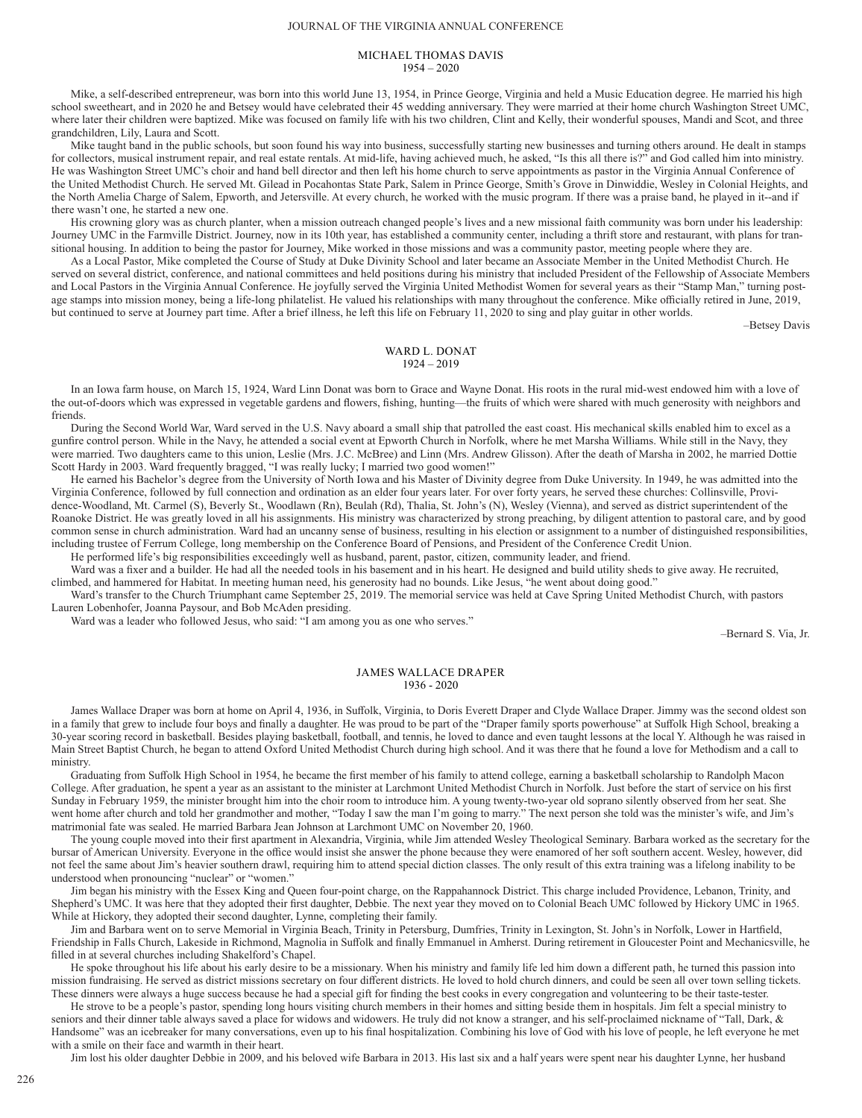### JOURNAL OF THE VIRGINIA ANNUAL CONFERENCE

# MICHAEL THOMAS DAVIS  $1954 - 2020$

Mike, a self-described entrepreneur, was born into this world June 13, 1954, in Prince George, Virginia and held a Music Education degree. He married his high school sweetheart, and in 2020 he and Betsey would have celebrated their 45 wedding anniversary. They were married at their home church Washington Street UMC, where later their children were baptized. Mike was focused on family life with his two children, Clint and Kelly, their wonderful spouses, Mandi and Scot, and three grandchildren, Lily, Laura and Scott.

Mike taught band in the public schools, but soon found his way into business, successfully starting new businesses and turning others around. He dealt in stamps for collectors, musical instrument repair, and real estate rentals. At mid-life, having achieved much, he asked, "Is this all there is?" and God called him into ministry. He was Washington Street UMC's choir and hand bell director and then left his home church to serve appointments as pastor in the Virginia Annual Conference of the United Methodist Church. He served Mt. Gilead in Pocahontas State Park, Salem in Prince George, Smith's Grove in Dinwiddie, Wesley in Colonial Heights, and the North Amelia Charge of Salem, Epworth, and Jetersville. At every church, he worked with the music program. If there was a praise band, he played in it--and if there wasn't one, he started a new one.

His crowning glory was as church planter, when a mission outreach changed people's lives and a new missional faith community was born under his leadership: Journey UMC in the Farmville District. Journey, now in its 10th year, has established a community center, including a thrift store and restaurant, with plans for transitional housing. In addition to being the pastor for Journey, Mike worked in those missions and was a community pastor, meeting people where they are.

As a Local Pastor, Mike completed the Course of Study at Duke Divinity School and later became an Associate Member in the United Methodist Church. He served on several district, conference, and national committees and held positions during his ministry that included President of the Fellowship of Associate Members and Local Pastors in the Virginia Annual Conference. He joyfully served the Virginia United Methodist Women for several years as their "Stamp Man," turning postage stamps into mission money, being a life-long philatelist. He valued his relationships with many throughout the conference. Mike officially retired in June,  $2019$ , but continued to serve at Journey part time. After a brief illness, he left this life on February 11, 2020 to sing and play guitar in other worlds.

–Betsey Davis

# WARD L. DONAT 1924 – 2019

In an Iowa farm house, on March 15, 1924, Ward Linn Donat was born to Grace and Wayne Donat. His roots in the rural mid-west endowed him with a love of the out-of-doors which was expressed in vegetable gardens and flowers, fishing, hunting—the fruits of which were shared with much generosity with neighbors and friends.

During the Second World War, Ward served in the U.S. Navy aboard a small ship that patrolled the east coast. His mechanical skills enabled him to excel as a gunfire control person. While in the Navy, he attended a social event at Epworth Church in Norfolk, where he met Marsha Williams. While still in the Navy, they were married. Two daughters came to this union, Leslie (Mrs. J.C. McBree) and Linn (Mrs. Andrew Glisson). After the death of Marsha in 2002, he married Dottie Scott Hardy in 2003. Ward frequently bragged, "I was really lucky; I married two good women!"

He earned his Bachelor's degree from the University of North Iowa and his Master of Divinity degree from Duke University. In 1949, he was admitted into the Virginia Conference, followed by full connection and ordination as an elder four years later. For over forty years, he served these churches: Collinsville, Providence-Woodland, Mt. Carmel (S), Beverly St., Woodlawn (Rn), Beulah (Rd), Thalia, St. John's (N), Wesley (Vienna), and served as district superintendent of the Roanoke District. He was greatly loved in all his assignments. His ministry was characterized by strong preaching, by diligent attention to pastoral care, and by good common sense in church administration. Ward had an uncanny sense of business, resulting in his election or assignment to a number of distinguished responsibilities, including trustee of Ferrum College, long membership on the Conference Board of Pensions, and President of the Conference Credit Union.

He performed life's big responsibilities exceedingly well as husband, parent, pastor, citizen, community leader, and friend.

Ward was a fixer and a builder. He had all the needed tools in his basement and in his heart. He designed and build utility sheds to give away. He recruited, climbed, and hammered for Habitat. In meeting human need, his generosity had no bounds. Like Jesus, "he went about doing good."

Ward's transfer to the Church Triumphant came September 25, 2019. The memorial service was held at Cave Spring United Methodist Church, with pastors Lauren Lobenhofer, Joanna Paysour, and Bob McAden presiding.

Ward was a leader who followed Jesus, who said: "I am among you as one who serves."

–Bernard S. Via, Jr.

## JAMES WALLACE DRAPER 1936 - 2020

James Wallace Draper was born at home on April 4, 1936, in Suffolk, Virginia, to Doris Everett Draper and Clyde Wallace Draper. Jimmy was the second oldest son in a family that grew to include four boys and finally a daughter. He was proud to be part of the "Draper family sports powerhouse" at Suffolk High School, breaking a 30-year scoring record in basketball. Besides playing basketball, football, and tennis, he loved to dance and even taught lessons at the local Y. Although he was raised in Main Street Baptist Church, he began to attend Oxford United Methodist Church during high school. And it was there that he found a love for Methodism and a call to ministry.

Graduating from Suffolk High School in 1954, he became the first member of his family to attend college, earning a basketball scholarship to Randolph Macon College. After graduation, he spent a year as an assistant to the minister at Larchmont United Methodist Church in Norfolk. Just before the start of service on his first Sunday in February 1959, the minister brought him into the choir room to introduce him. A young twenty-two-year old soprano silently observed from her seat. She went home after church and told her grandmother and mother, "Today I saw the man I'm going to marry." The next person she told was the minister's wife, and Jim's matrimonial fate was sealed. He married Barbara Jean Johnson at Larchmont UMC on November 20, 1960.

The young couple moved into their first apartment in Alexandria, Virginia, while Jim attended Wesley Theological Seminary. Barbara worked as the secretary for the bursar of American University. Everyone in the office would insist she answer the phone because they were enamored of her soft southern accent. Wesley, however, did not feel the same about Jim's heavier southern drawl, requiring him to attend special diction classes. The only result of this extra training was a lifelong inability to be understood when pronouncing "nuclear" or "women."

Jim began his ministry with the Essex King and Queen four-point charge, on the Rappahannock District. This charge included Providence, Lebanon, Trinity, and Shepherd's UMC. It was here that they adopted their first daughter, Debbie. The next year they moved on to Colonial Beach UMC followed by Hickory UMC in 1965. While at Hickory, they adopted their second daughter, Lynne, completing their family.

Jim and Barbara went on to serve Memorial in Virginia Beach, Trinity in Petersburg, Dumfries, Trinity in Lexington, St. John's in Norfolk, Lower in Hartfield, Friendship in Falls Church, Lakeside in Richmond, Magnolia in Suffolk and finally Emmanuel in Amherst. During retirement in Gloucester Point and Mechanicsville, he filled in at several churches including Shakelford's Chapel.

He spoke throughout his life about his early desire to be a missionary. When his ministry and family life led him down a different path, he turned this passion into mission fundraising. He served as district missions secretary on four different districts. He loved to hold church dinners, and could be seen all over town selling tickets. These dinners were always a huge success because he had a special gift for finding the best cooks in every congregation and volunteering to be their taste-tester.

He strove to be a people's pastor, spending long hours visiting church members in their homes and sitting beside them in hospitals. Jim felt a special ministry to seniors and their dinner table always saved a place for widows and widowers. He truly did not know a stranger, and his self-proclaimed nickname of "Tall, Dark, & Handsome" was an icebreaker for many conversations, even up to his final hospitalization. Combining his love of God with his love of people, he left everyone he met with a smile on their face and warmth in their heart.

Jim lost his older daughter Debbie in 2009, and his beloved wife Barbara in 2013. His last six and a half years were spent near his daughter Lynne, her husband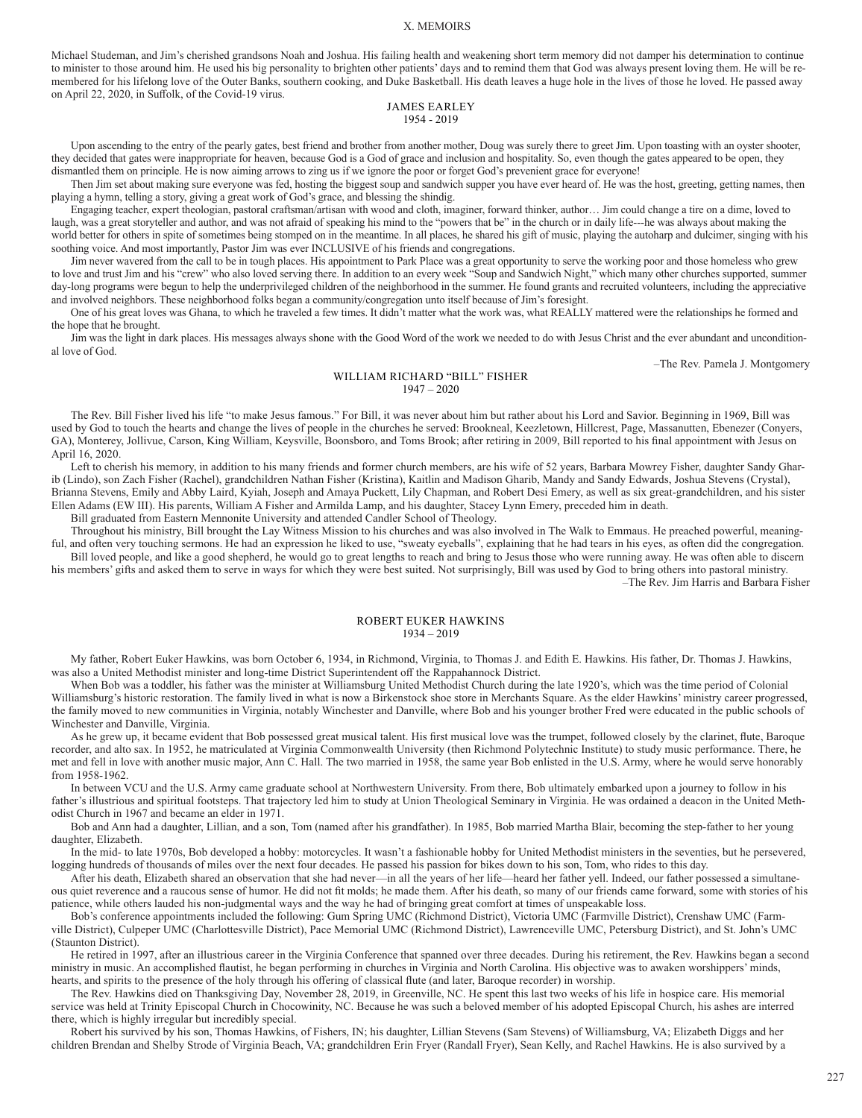Michael Studeman, and Jim's cherished grandsons Noah and Joshua. His failing health and weakening short term memory did not damper his determination to continue to minister to those around him. He used his big personality to brighten other patients' days and to remind them that God was always present loving them. He will be remembered for his lifelong love of the Outer Banks, southern cooking, and Duke Basketball. His death leaves a huge hole in the lives of those he loved. He passed away on April 22, 2020, in Suffolk, of the Covid-19 virus.

# JAMES EARLEY 1954 - 2019

Upon ascending to the entry of the pearly gates, best friend and brother from another mother, Doug was surely there to greet Jim. Upon toasting with an oyster shooter, they decided that gates were inappropriate for heaven, because God is a God of grace and inclusion and hospitality. So, even though the gates appeared to be open, they dismantled them on principle. He is now aiming arrows to zing us if we ignore the poor or forget God's prevenient grace for everyone!

Then Jim set about making sure everyone was fed, hosting the biggest soup and sandwich supper you have ever heard of. He was the host, greeting, getting names, then playing a hymn, telling a story, giving a great work of God's grace, and blessing the shindig.

Engaging teacher, expert theologian, pastoral craftsman/artisan with wood and cloth, imaginer, forward thinker, author… Jim could change a tire on a dime, loved to laugh, was a great storyteller and author, and was not afraid of speaking his mind to the "powers that be" in the church or in daily life---he was always about making the world better for others in spite of sometimes being stomped on in the meantime. In all places, he shared his gift of music, playing the autoharp and dulcimer, singing with his soothing voice. And most importantly, Pastor Jim was ever INCLUSIVE of his friends and congregations.

Jim never wavered from the call to be in tough places. His appointment to Park Place was a great opportunity to serve the working poor and those homeless who grew to love and trust Jim and his "crew" who also loved serving there. In addition to an every week "Soup and Sandwich Night," which many other churches supported, summer day-long programs were begun to help the underprivileged children of the neighborhood in the summer. He found grants and recruited volunteers, including the appreciative and involved neighbors. These neighborhood folks began a community/congregation unto itself because of Jim's foresight.

One of his great loves was Ghana, to which he traveled a few times. It didn't matter what the work was, what REALLY mattered were the relationships he formed and the hope that he brought.

Jim was the light in dark places. His messages always shone with the Good Word of the work we needed to do with Jesus Christ and the ever abundant and unconditional love of God.

–The Rev. Pamela J. Montgomery

## WILLIAM RICHARD "BILL" FISHER 1947 – 2020

The Rev. Bill Fisher lived his life "to make Jesus famous." For Bill, it was never about him but rather about his Lord and Savior. Beginning in 1969, Bill was used by God to touch the hearts and change the lives of people in the churches he served: Brookneal, Keezletown, Hillcrest, Page, Massanutten, Ebenezer (Conyers, GA), Monterey, Jollivue, Carson, King William, Keysville, Boonsboro, and Toms Brook; after retiring in 2009, Bill reported to his final appointment with Jesus on April 16, 2020.

Left to cherish his memory, in addition to his many friends and former church members, are his wife of 52 years, Barbara Mowrey Fisher, daughter Sandy Gharib (Lindo), son Zach Fisher (Rachel), grandchildren Nathan Fisher (Kristina), Kaitlin and Madison Gharib, Mandy and Sandy Edwards, Joshua Stevens (Crystal), Brianna Stevens, Emily and Abby Laird, Kyiah, Joseph and Amaya Puckett, Lily Chapman, and Robert Desi Emery, as well as six great-grandchildren, and his sister Ellen Adams (EW III). His parents, William A Fisher and Armilda Lamp, and his daughter, Stacey Lynn Emery, preceded him in death.

Bill graduated from Eastern Mennonite University and attended Candler School of Theology.

Throughout his ministry, Bill brought the Lay Witness Mission to his churches and was also involved in The Walk to Emmaus. He preached powerful, meaningful, and often very touching sermons. He had an expression he liked to use, "sweaty eyeballs", explaining that he had tears in his eyes, as often did the congregation. Bill loved people, and like a good shepherd, he would go to great lengths to reach and bring to Jesus those who were running away. He was often able to discern

his members' gifts and asked them to serve in ways for which they were best suited. Not surprisingly, Bill was used by God to bring others into pastoral ministry. –The Rev. Jim Harris and Barbara Fisher

# ROBERT EUKER HAWKINS

# 1934 – 2019

My father, Robert Euker Hawkins, was born October 6, 1934, in Richmond, Virginia, to Thomas J. and Edith E. Hawkins. His father, Dr. Thomas J. Hawkins, was also a United Methodist minister and long-time District Superintendent off the Rappahannock District.

When Bob was a toddler, his father was the minister at Williamsburg United Methodist Church during the late 1920's, which was the time period of Colonial Williamsburg's historic restoration. The family lived in what is now a Birkenstock shoe store in Merchants Square. As the elder Hawkins' ministry career progressed, the family moved to new communities in Virginia, notably Winchester and Danville, where Bob and his younger brother Fred were educated in the public schools of Winchester and Danville, Virginia.

As he grew up, it became evident that Bob possessed great musical talent. His first musical love was the trumpet, followed closely by the clarinet, flute, Baroque recorder, and alto sax. In 1952, he matriculated at Virginia Commonwealth University (then Richmond Polytechnic Institute) to study music performance. There, he met and fell in love with another music major, Ann C. Hall. The two married in 1958, the same year Bob enlisted in the U.S. Army, where he would serve honorably from 1958-1962.

In between VCU and the U.S. Army came graduate school at Northwestern University. From there, Bob ultimately embarked upon a journey to follow in his father's illustrious and spiritual footsteps. That trajectory led him to study at Union Theological Seminary in Virginia. He was ordained a deacon in the United Methodist Church in 1967 and became an elder in 1971.

Bob and Ann had a daughter, Lillian, and a son, Tom (named after his grandfather). In 1985, Bob married Martha Blair, becoming the step-father to her young daughter, Elizabeth.

In the mid- to late 1970s, Bob developed a hobby: motorcycles. It wasn't a fashionable hobby for United Methodist ministers in the seventies, but he persevered, logging hundreds of thousands of miles over the next four decades. He passed his passion for bikes down to his son, Tom, who rides to this day.

After his death, Elizabeth shared an observation that she had never—in all the years of her life—heard her father yell. Indeed, our father possessed a simultaneous quiet reverence and a raucous sense of humor. He did not fit molds; he made them. After his death, so many of our friends came forward, some with stories of his patience, while others lauded his non-judgmental ways and the way he had of bringing great comfort at times of unspeakable loss.

Bob's conference appointments included the following: Gum Spring UMC (Richmond District), Victoria UMC (Farmville District), Crenshaw UMC (Farmville District), Culpeper UMC (Charlottesville District), Pace Memorial UMC (Richmond District), Lawrenceville UMC, Petersburg District), and St. John's UMC (Staunton District).

He retired in 1997, after an illustrious career in the Virginia Conference that spanned over three decades. During his retirement, the Rev. Hawkins began a second ministry in music. An accomplished flautist, he began performing in churches in Virginia and North Carolina. His objective was to awaken worshippers' minds, hearts, and spirits to the presence of the holy through his offering of classical flute (and later, Baroque recorder) in worship.

The Rev. Hawkins died on Thanksgiving Day, November 28, 2019, in Greenville, NC. He spent this last two weeks of his life in hospice care. His memorial service was held at Trinity Episcopal Church in Chocowinity, NC. Because he was such a beloved member of his adopted Episcopal Church, his ashes are interred there, which is highly irregular but incredibly special.

Robert his survived by his son, Thomas Hawkins, of Fishers, IN; his daughter, Lillian Stevens (Sam Stevens) of Williamsburg, VA; Elizabeth Diggs and her children Brendan and Shelby Strode of Virginia Beach, VA; grandchildren Erin Fryer (Randall Fryer), Sean Kelly, and Rachel Hawkins. He is also survived by a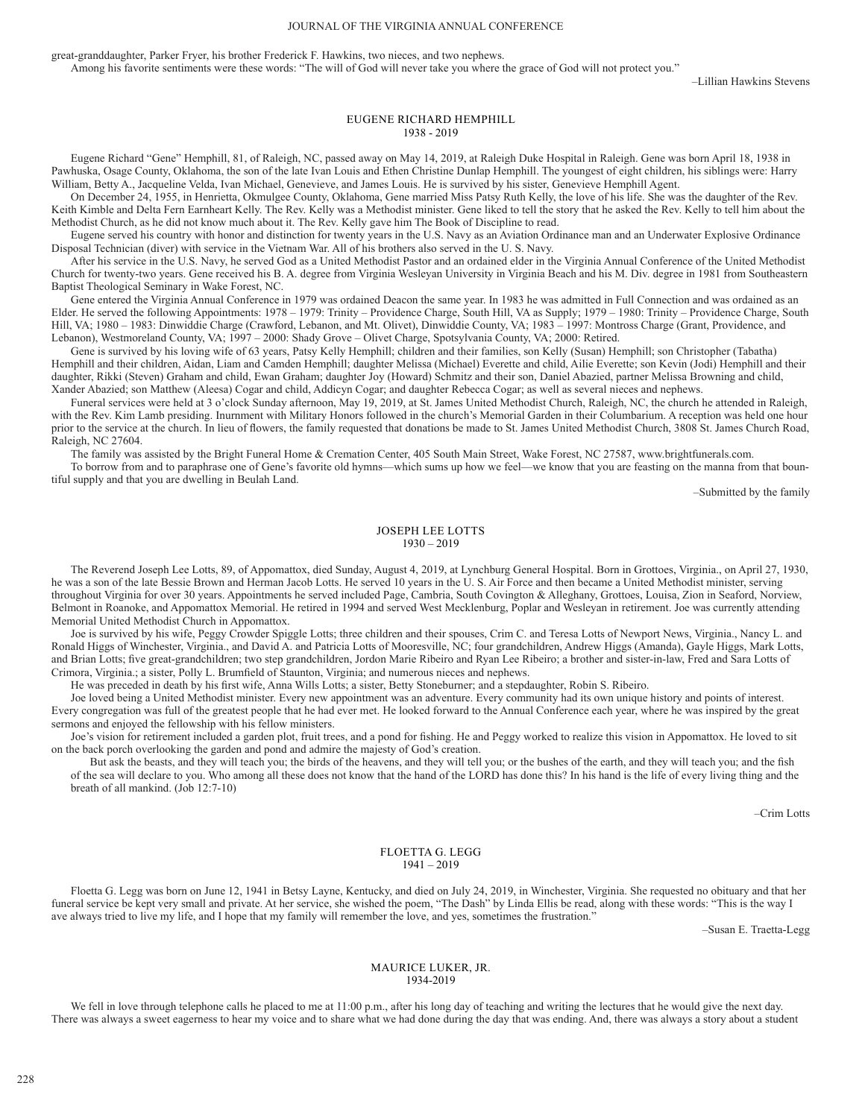### JOURNAL OF THE VIRGINIA ANNUAL CONFERENCE

great-granddaughter, Parker Fryer, his brother Frederick F. Hawkins, two nieces, and two nephews.

Among his favorite sentiments were these words: "The will of God will never take you where the grace of God will not protect you."

–Lillian Hawkins Stevens

# EUGENE RICHARD HEMPHILL 1938 - 2019

Eugene Richard "Gene" Hemphill, 81, of Raleigh, NC, passed away on May 14, 2019, at Raleigh Duke Hospital in Raleigh. Gene was born April 18, 1938 in Pawhuska, Osage County, Oklahoma, the son of the late Ivan Louis and Ethen Christine Dunlap Hemphill. The youngest of eight children, his siblings were: Harry William, Betty A., Jacqueline Velda, Ivan Michael, Genevieve, and James Louis. He is survived by his sister, Genevieve Hemphill Agent.

On December 24, 1955, in Henrietta, Okmulgee County, Oklahoma, Gene married Miss Patsy Ruth Kelly, the love of his life. She was the daughter of the Rev. Keith Kimble and Delta Fern Earnheart Kelly. The Rev. Kelly was a Methodist minister. Gene liked to tell the story that he asked the Rev. Kelly to tell him about the Methodist Church, as he did not know much about it. The Rev. Kelly gave him The Book of Discipline to read.

Eugene served his country with honor and distinction for twenty years in the U.S. Navy as an Aviation Ordinance man and an Underwater Explosive Ordinance Disposal Technician (diver) with service in the Vietnam War. All of his brothers also served in the U. S. Navy.

After his service in the U.S. Navy, he served God as a United Methodist Pastor and an ordained elder in the Virginia Annual Conference of the United Methodist Church for twenty-two years. Gene received his B. A. degree from Virginia Wesleyan University in Virginia Beach and his M. Div. degree in 1981 from Southeastern Baptist Theological Seminary in Wake Forest, NC.

Gene entered the Virginia Annual Conference in 1979 was ordained Deacon the same year. In 1983 he was admitted in Full Connection and was ordained as an Elder. He served the following Appointments: 1978 – 1979: Trinity – Providence Charge, South Hill, VA as Supply; 1979 – 1980: Trinity – Providence Charge, South Hill, VA; 1980 – 1983: Dinwiddie Charge (Crawford, Lebanon, and Mt. Olivet), Dinwiddie County, VA; 1983 – 1997: Montross Charge (Grant, Providence, and Lebanon), Westmoreland County, VA; 1997 – 2000: Shady Grove – Olivet Charge, Spotsylvania County, VA; 2000: Retired.

Gene is survived by his loving wife of 63 years, Patsy Kelly Hemphill; children and their families, son Kelly (Susan) Hemphill; son Christopher (Tabatha) Hemphill and their children, Aidan, Liam and Camden Hemphill; daughter Melissa (Michael) Everette and child, Ailie Everette; son Kevin (Jodi) Hemphill and their daughter, Rikki (Steven) Graham and child, Ewan Graham; daughter Joy (Howard) Schmitz and their son, Daniel Abazied, partner Melissa Browning and child, Xander Abazied; son Matthew (Aleesa) Cogar and child, Addicyn Cogar; and daughter Rebecca Cogar; as well as several nieces and nephews.

Funeral services were held at 3 o'clock Sunday afternoon, May 19, 2019, at St. James United Methodist Church, Raleigh, NC, the church he attended in Raleigh, with the Rev. Kim Lamb presiding. Inurnment with Military Honors followed in the church's Memorial Garden in their Columbarium. A reception was held one hour prior to the service at the church. In lieu of flowers, the family requested that donations be made to St. James United Methodist Church, 3808 St. James Church Road, Raleigh, NC 27604.

The family was assisted by the Bright Funeral Home & Cremation Center, 405 South Main Street, Wake Forest, NC 27587, www.brightfunerals.com.

To borrow from and to paraphrase one of Gene's favorite old hymns—which sums up how we feel—we know that you are feasting on the manna from that bountiful supply and that you are dwelling in Beulah Land.

–Submitted by the family

# JOSEPH LEE LOTTS 1930 – 2019

The Reverend Joseph Lee Lotts, 89, of Appomattox, died Sunday, August 4, 2019, at Lynchburg General Hospital. Born in Grottoes, Virginia., on April 27, 1930, he was a son of the late Bessie Brown and Herman Jacob Lotts. He served 10 years in the U. S. Air Force and then became a United Methodist minister, serving throughout Virginia for over 30 years. Appointments he served included Page, Cambria, South Covington & Alleghany, Grottoes, Louisa, Zion in Seaford, Norview, Belmont in Roanoke, and Appomattox Memorial. He retired in 1994 and served West Mecklenburg, Poplar and Wesleyan in retirement. Joe was currently attending Memorial United Methodist Church in Appomattox.

Joe is survived by his wife, Peggy Crowder Spiggle Lotts; three children and their spouses, Crim C. and Teresa Lotts of Newport News, Virginia., Nancy L. and Ronald Higgs of Winchester, Virginia., and David A. and Patricia Lotts of Mooresville, NC; four grandchildren, Andrew Higgs (Amanda), Gayle Higgs, Mark Lotts, and Brian Lotts; five great-grandchildren; two step grandchildren, Jordon Marie Ribeiro and Ryan Lee Ribeiro; a brother and sister-in-law, Fred and Sara Lotts of Crimora, Virginia.; a sister, Polly L. Brumfield of Staunton, Virginia; and numerous nieces and nephews.

He was preceded in death by his first wife, Anna Wills Lotts; a sister, Betty Stoneburner; and a stepdaughter, Robin S. Ribeiro.

Joe loved being a United Methodist minister. Every new appointment was an adventure. Every community had its own unique history and points of interest. Every congregation was full of the greatest people that he had ever met. He looked forward to the Annual Conference each year, where he was inspired by the great sermons and enjoyed the fellowship with his fellow ministers.

Joe's vision for retirement included a garden plot, fruit trees, and a pond for fishing. He and Peggy worked to realize this vision in Appomattox. He loved to sit on the back porch overlooking the garden and pond and admire the majesty of God's creation.

But ask the beasts, and they will teach you; the birds of the heavens, and they will tell you; or the bushes of the earth, and they will teach you; and the fish of the sea will declare to you. Who among all these does not know that the hand of the LORD has done this? In his hand is the life of every living thing and the breath of all mankind. (Job 12:7-10)

–Crim Lotts

# FLOETTA G. LEGG 1941 – 2019

Floetta G. Legg was born on June 12, 1941 in Betsy Layne, Kentucky, and died on July 24, 2019, in Winchester, Virginia. She requested no obituary and that her funeral service be kept very small and private. At her service, she wished the poem, "The Dash" by Linda Ellis be read, along with these words: "This is the way I ave always tried to live my life, and I hope that my family will remember the love, and yes, sometimes the frustration."

–Susan E. Traetta-Legg

# MAURICE LUKER, JR. 1934-2019

We fell in love through telephone calls he placed to me at 11:00 p.m., after his long day of teaching and writing the lectures that he would give the next day. There was always a sweet eagerness to hear my voice and to share what we had done during the day that was ending. And, there was always a story about a student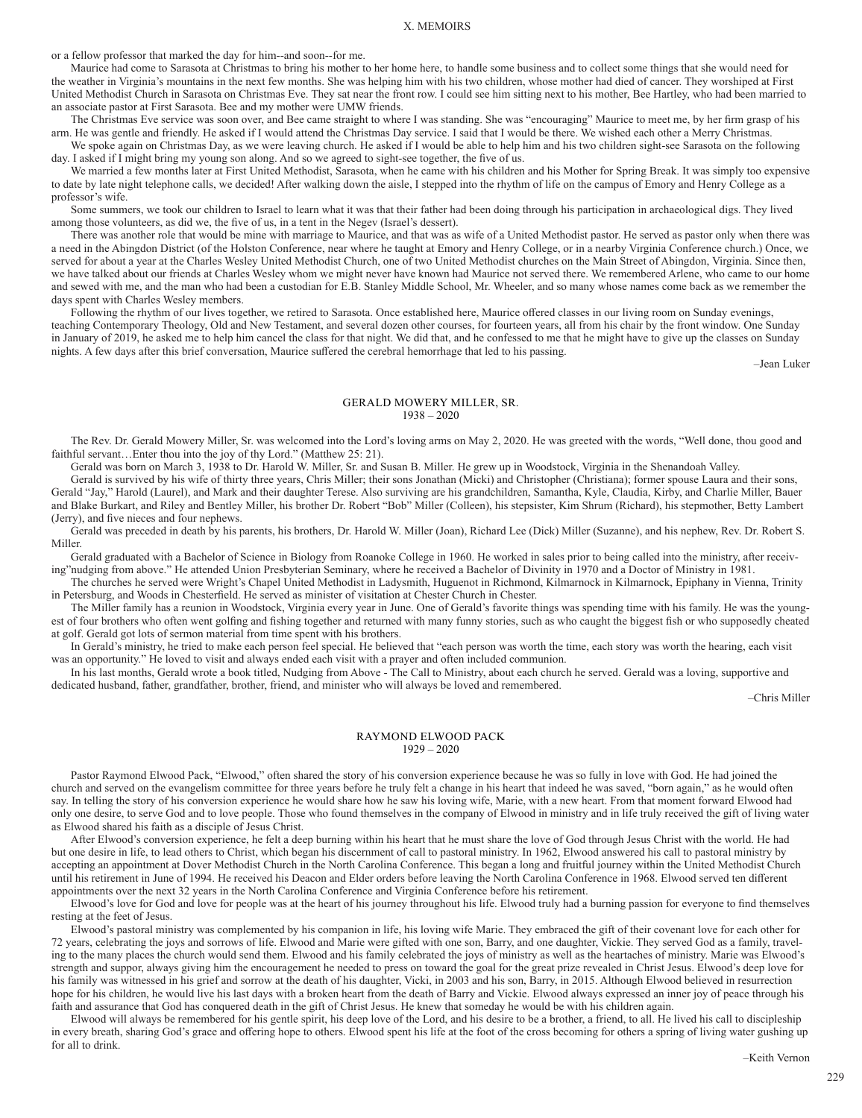or a fellow professor that marked the day for him--and soon--for me.

Maurice had come to Sarasota at Christmas to bring his mother to her home here, to handle some business and to collect some things that she would need for the weather in Virginia's mountains in the next few months. She was helping him with his two children, whose mother had died of cancer. They worshiped at First United Methodist Church in Sarasota on Christmas Eve. They sat near the front row. I could see him sitting next to his mother, Bee Hartley, who had been married to an associate pastor at First Sarasota. Bee and my mother were UMW friends.

The Christmas Eve service was soon over, and Bee came straight to where I was standing. She was "encouraging" Maurice to meet me, by her firm grasp of his arm. He was gentle and friendly. He asked if I would attend the Christmas Day service. I said that I would be there. We wished each other a Merry Christmas.

We spoke again on Christmas Day, as we were leaving church. He asked if I would be able to help him and his two children sight-see Sarasota on the following day. I asked if I might bring my young son along. And so we agreed to sight-see together, the five of us.

We married a few months later at First United Methodist, Sarasota, when he came with his children and his Mother for Spring Break. It was simply too expensive to date by late night telephone calls, we decided! After walking down the aisle, I stepped into the rhythm of life on the campus of Emory and Henry College as a professor's wife.

Some summers, we took our children to Israel to learn what it was that their father had been doing through his participation in archaeological digs. They lived among those volunteers, as did we, the five of us, in a tent in the Negev (Israel's dessert).

There was another role that would be mine with marriage to Maurice, and that was as wife of a United Methodist pastor. He served as pastor only when there was a need in the Abingdon District (of the Holston Conference, near where he taught at Emory and Henry College, or in a nearby Virginia Conference church.) Once, we served for about a year at the Charles Wesley United Methodist Church, one of two United Methodist churches on the Main Street of Abingdon, Virginia. Since then, we have talked about our friends at Charles Wesley whom we might never have known had Maurice not served there. We remembered Arlene, who came to our home and sewed with me, and the man who had been a custodian for E.B. Stanley Middle School, Mr. Wheeler, and so many whose names come back as we remember the days spent with Charles Wesley members.

Following the rhythm of our lives together, we retired to Sarasota. Once established here, Maurice offered classes in our living room on Sunday evenings, teaching Contemporary Theology, Old and New Testament, and several dozen other courses, for fourteen years, all from his chair by the front window. One Sunday in January of 2019, he asked me to help him cancel the class for that night. We did that, and he confessed to me that he might have to give up the classes on Sunday nights. A few days after this brief conversation, Maurice suffered the cerebral hemorrhage that led to his passing.

–Jean Luker

### GERALD MOWERY MILLER, SR. 1938 – 2020

The Rev. Dr. Gerald Mowery Miller, Sr. was welcomed into the Lord's loving arms on May 2, 2020. He was greeted with the words, "Well done, thou good and faithful servant...Enter thou into the joy of thy Lord." (Matthew 25: 21).

Gerald was born on March 3, 1938 to Dr. Harold W. Miller, Sr. and Susan B. Miller. He grew up in Woodstock, Virginia in the Shenandoah Valley.

Gerald is survived by his wife of thirty three years, Chris Miller; their sons Jonathan (Micki) and Christopher (Christiana); former spouse Laura and their sons, Gerald "Jay," Harold (Laurel), and Mark and their daughter Terese. Also surviving are his grandchildren, Samantha, Kyle, Claudia, Kirby, and Charlie Miller, Bauer and Blake Burkart, and Riley and Bentley Miller, his brother Dr. Robert "Bob" Miller (Colleen), his stepsister, Kim Shrum (Richard), his stepmother, Betty Lambert (Jerry), and five nieces and four nephews.

Gerald was preceded in death by his parents, his brothers, Dr. Harold W. Miller (Joan), Richard Lee (Dick) Miller (Suzanne), and his nephew, Rev. Dr. Robert S. Miller.

Gerald graduated with a Bachelor of Science in Biology from Roanoke College in 1960. He worked in sales prior to being called into the ministry, after receiving"nudging from above." He attended Union Presbyterian Seminary, where he received a Bachelor of Divinity in 1970 and a Doctor of Ministry in 1981.

The churches he served were Wright's Chapel United Methodist in Ladysmith, Huguenot in Richmond, Kilmarnock in Kilmarnock, Epiphany in Vienna, Trinity in Petersburg, and Woods in Chesterfield. He served as minister of visitation at Chester Church in Chester.

The Miller family has a reunion in Woodstock, Virginia every year in June. One of Gerald's favorite things was spending time with his family. He was the youngest of four brothers who often went golfing and fishing together and returned with many funny stories, such as who caught the biggest fish or who supposedly cheated at golf. Gerald got lots of sermon material from time spent with his brothers.

In Gerald's ministry, he tried to make each person feel special. He believed that "each person was worth the time, each story was worth the hearing, each visit was an opportunity." He loved to visit and always ended each visit with a prayer and often included communion.

In his last months, Gerald wrote a book titled, Nudging from Above - The Call to Ministry, about each church he served. Gerald was a loving, supportive and dedicated husband, father, grandfather, brother, friend, and minister who will always be loved and remembered.

–Chris Miller

### RAYMOND ELWOOD PACK 1929 – 2020

Pastor Raymond Elwood Pack, "Elwood," often shared the story of his conversion experience because he was so fully in love with God. He had joined the church and served on the evangelism committee for three years before he truly felt a change in his heart that indeed he was saved, "born again," as he would often say. In telling the story of his conversion experience he would share how he saw his loving wife, Marie, with a new heart. From that moment forward Elwood had only one desire, to serve God and to love people. Those who found themselves in the company of Elwood in ministry and in life truly received the gift of living water as Elwood shared his faith as a disciple of Jesus Christ.

After Elwood's conversion experience, he felt a deep burning within his heart that he must share the love of God through Jesus Christ with the world. He had but one desire in life, to lead others to Christ, which began his discernment of call to pastoral ministry. In 1962, Elwood answered his call to pastoral ministry by accepting an appointment at Dover Methodist Church in the North Carolina Conference. This began a long and fruitful journey within the United Methodist Church until his retirement in June of 1994. He received his Deacon and Elder orders before leaving the North Carolina Conference in 1968. Elwood served ten different appointments over the next 32 years in the North Carolina Conference and Virginia Conference before his retirement.

Elwood's love for God and love for people was at the heart of his journey throughout his life. Elwood truly had a burning passion for everyone to find themselves resting at the feet of Jesus.

Elwood's pastoral ministry was complemented by his companion in life, his loving wife Marie. They embraced the gift of their covenant love for each other for 72 years, celebrating the joys and sorrows of life. Elwood and Marie were gifted with one son, Barry, and one daughter, Vickie. They served God as a family, traveling to the many places the church would send them. Elwood and his family celebrated the joys of ministry as well as the heartaches of ministry. Marie was Elwood's strength and suppor, always giving him the encouragement he needed to press on toward the goal for the great prize revealed in Christ Jesus. Elwood's deep love for his family was witnessed in his grief and sorrow at the death of his daughter, Vicki, in 2003 and his son, Barry, in 2015. Although Elwood believed in resurrection hope for his children, he would live his last days with a broken heart from the death of Barry and Vickie. Elwood always expressed an inner joy of peace through his faith and assurance that God has conquered death in the gift of Christ Jesus. He knew that someday he would be with his children again.

Elwood will always be remembered for his gentle spirit, his deep love of the Lord, and his desire to be a brother, a friend, to all. He lived his call to discipleship in every breath, sharing God's grace and offering hope to others. Elwood spent his life at the foot of the cross becoming for others a spring of living water gushing up for all to drink.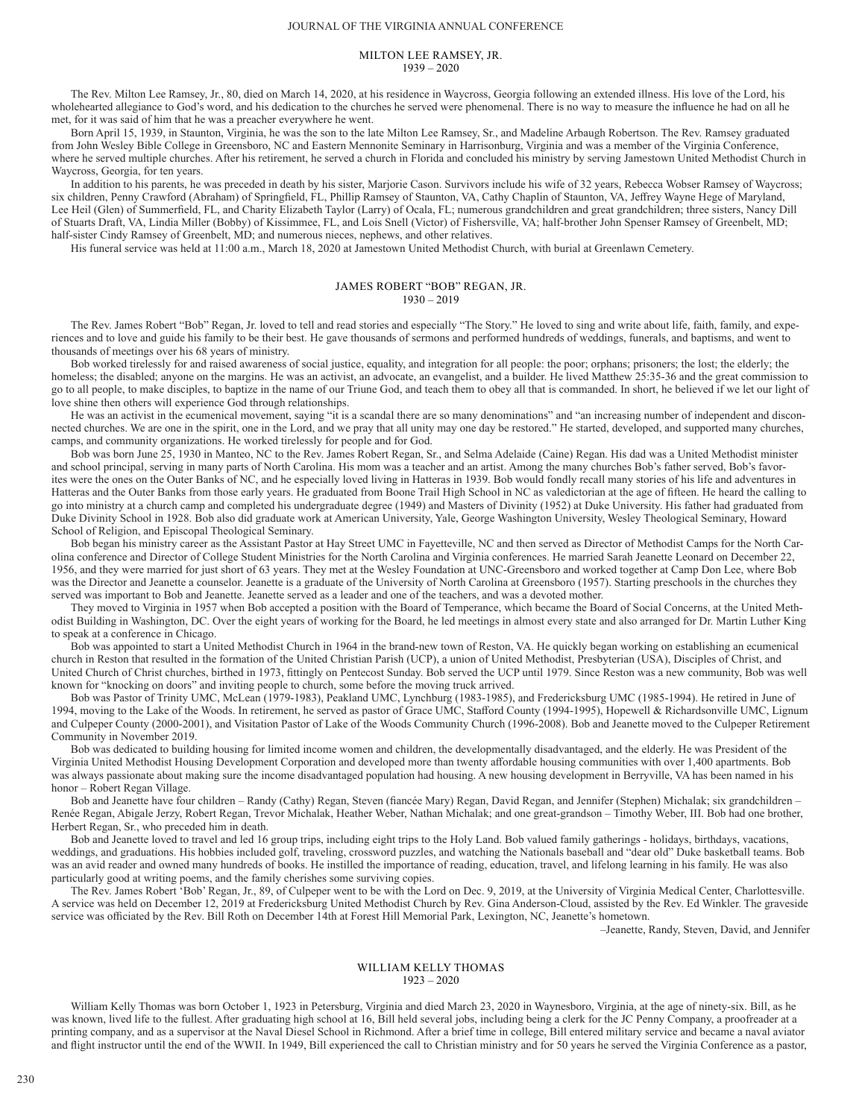# MILTON LEE RAMSEY, JR. 1939 – 2020

The Rev. Milton Lee Ramsey, Jr., 80, died on March 14, 2020, at his residence in Waycross, Georgia following an extended illness. His love of the Lord, his wholehearted allegiance to God's word, and his dedication to the churches he served were phenomenal. There is no way to measure the influence he had on all he met, for it was said of him that he was a preacher everywhere he went.

Born April 15, 1939, in Staunton, Virginia, he was the son to the late Milton Lee Ramsey, Sr., and Madeline Arbaugh Robertson. The Rev. Ramsey graduated from John Wesley Bible College in Greensboro, NC and Eastern Mennonite Seminary in Harrisonburg, Virginia and was a member of the Virginia Conference, where he served multiple churches. After his retirement, he served a church in Florida and concluded his ministry by serving Jamestown United Methodist Church in Waycross, Georgia, for ten years.

In addition to his parents, he was preceded in death by his sister, Marjorie Cason. Survivors include his wife of 32 years, Rebecca Wobser Ramsey of Waycross; six children, Penny Crawford (Abraham) of Springfield, FL, Phillip Ramsey of Staunton, VA, Cathy Chaplin of Staunton, VA, Jeffrey Wayne Hege of Maryland, Lee Heil (Glen) of Summerfield, FL, and Charity Elizabeth Taylor (Larry) of Ocala, FL; numerous grandchildren and great grandchildren; three sisters, Nancy Dill of Stuarts Draft, VA, Lindia Miller (Bobby) of Kissimmee, FL, and Lois Snell (Victor) of Fishersville, VA; half-brother John Spenser Ramsey of Greenbelt, MD; half-sister Cindy Ramsey of Greenbelt, MD; and numerous nieces, nephews, and other relatives.

His funeral service was held at 11:00 a.m., March 18, 2020 at Jamestown United Methodist Church, with burial at Greenlawn Cemetery.

# JAMES ROBERT "BOB" REGAN, JR. 1930 – 2019

The Rev. James Robert "Bob" Regan, Jr. loved to tell and read stories and especially "The Story." He loved to sing and write about life, faith, family, and experiences and to love and guide his family to be their best. He gave thousands of sermons and performed hundreds of weddings, funerals, and baptisms, and went to thousands of meetings over his 68 years of ministry.

Bob worked tirelessly for and raised awareness of social justice, equality, and integration for all people: the poor; orphans; prisoners; the lost; the elderly; the homeless; the disabled; anyone on the margins. He was an activist, an advocate, an evangelist, and a builder. He lived Matthew 25:35-36 and the great commission to go to all people, to make disciples, to baptize in the name of our Triune God, and teach them to obey all that is commanded. In short, he believed if we let our light of love shine then others will experience God through relationships.

He was an activist in the ecumenical movement, saying "it is a scandal there are so many denominations" and "an increasing number of independent and disconnected churches. We are one in the spirit, one in the Lord, and we pray that all unity may one day be restored." He started, developed, and supported many churches, camps, and community organizations. He worked tirelessly for people and for God.

Bob was born June 25, 1930 in Manteo, NC to the Rev. James Robert Regan, Sr., and Selma Adelaide (Caine) Regan. His dad was a United Methodist minister and school principal, serving in many parts of North Carolina. His mom was a teacher and an artist. Among the many churches Bob's father served, Bob's favorites were the ones on the Outer Banks of NC, and he especially loved living in Hatteras in 1939. Bob would fondly recall many stories of his life and adventures in Hatteras and the Outer Banks from those early years. He graduated from Boone Trail High School in NC as valedictorian at the age of fifteen. He heard the calling to go into ministry at a church camp and completed his undergraduate degree (1949) and Masters of Divinity (1952) at Duke University. His father had graduated from Duke Divinity School in 1928. Bob also did graduate work at American University, Yale, George Washington University, Wesley Theological Seminary, Howard School of Religion, and Episcopal Theological Seminary.

Bob began his ministry career as the Assistant Pastor at Hay Street UMC in Fayetteville, NC and then served as Director of Methodist Camps for the North Carolina conference and Director of College Student Ministries for the North Carolina and Virginia conferences. He married Sarah Jeanette Leonard on December 22, 1956, and they were married for just short of 63 years. They met at the Wesley Foundation at UNC-Greensboro and worked together at Camp Don Lee, where Bob was the Director and Jeanette a counselor. Jeanette is a graduate of the University of North Carolina at Greensboro (1957). Starting preschools in the churches they served was important to Bob and Jeanette. Jeanette served as a leader and one of the teachers, and was a devoted mother.

They moved to Virginia in 1957 when Bob accepted a position with the Board of Temperance, which became the Board of Social Concerns, at the United Methodist Building in Washington, DC. Over the eight years of working for the Board, he led meetings in almost every state and also arranged for Dr. Martin Luther King to speak at a conference in Chicago.

Bob was appointed to start a United Methodist Church in 1964 in the brand-new town of Reston, VA. He quickly began working on establishing an ecumenical church in Reston that resulted in the formation of the United Christian Parish (UCP), a union of United Methodist, Presbyterian (USA), Disciples of Christ, and United Church of Christ churches, birthed in 1973, fittingly on Pentecost Sunday. Bob served the UCP until 1979. Since Reston was a new community, Bob was well known for "knocking on doors" and inviting people to church, some before the moving truck arrived.

Bob was Pastor of Trinity UMC, McLean (1979-1983), Peakland UMC, Lynchburg (1983-1985), and Fredericksburg UMC (1985-1994). He retired in June of 1994, moving to the Lake of the Woods. In retirement, he served as pastor of Grace UMC, Stafford County (1994-1995), Hopewell & Richardsonville UMC, Lignum and Culpeper County (2000-2001), and Visitation Pastor of Lake of the Woods Community Church (1996-2008). Bob and Jeanette moved to the Culpeper Retirement Community in November 2019.

Bob was dedicated to building housing for limited income women and children, the developmentally disadvantaged, and the elderly. He was President of the Virginia United Methodist Housing Development Corporation and developed more than twenty affordable housing communities with over 1,400 apartments. Bob was always passionate about making sure the income disadvantaged population had housing. A new housing development in Berryville, VA has been named in his honor – Robert Regan Village.

Bob and Jeanette have four children – Randy (Cathy) Regan, Steven (fiancée Mary) Regan, David Regan, and Jennifer (Stephen) Michalak; six grandchildren – Renée Regan, Abigale Jerzy, Robert Regan, Trevor Michalak, Heather Weber, Nathan Michalak; and one great-grandson – Timothy Weber, III. Bob had one brother, Herbert Regan, Sr., who preceded him in death.

Bob and Jeanette loved to travel and led 16 group trips, including eight trips to the Holy Land. Bob valued family gatherings - holidays, birthdays, vacations, weddings, and graduations. His hobbies included golf, traveling, crossword puzzles, and watching the Nationals baseball and "dear old" Duke basketball teams. Bob was an avid reader and owned many hundreds of books. He instilled the importance of reading, education, travel, and lifelong learning in his family. He was also particularly good at writing poems, and the family cherishes some surviving copies.

The Rev. James Robert 'Bob' Regan, Jr., 89, of Culpeper went to be with the Lord on Dec. 9, 2019, at the University of Virginia Medical Center, Charlottesville. A service was held on December 12, 2019 at Fredericksburg United Methodist Church by Rev. Gina Anderson-Cloud, assisted by the Rev. Ed Winkler. The graveside service was officiated by the Rev. Bill Roth on December 14th at Forest Hill Memorial Park, Lexington, NC, Jeanette's hometown.

–Jeanette, Randy, Steven, David, and Jennifer

## WILLIAM KELLY THOMAS 1923 – 2020

William Kelly Thomas was born October 1, 1923 in Petersburg, Virginia and died March 23, 2020 in Waynesboro, Virginia, at the age of ninety-six. Bill, as he was known, lived life to the fullest. After graduating high school at 16, Bill held several jobs, including being a clerk for the JC Penny Company, a proofreader at a printing company, and as a supervisor at the Naval Diesel School in Richmond. After a brief time in college, Bill entered military service and became a naval aviator and flight instructor until the end of the WWII. In 1949, Bill experienced the call to Christian ministry and for 50 years he served the Virginia Conference as a pastor,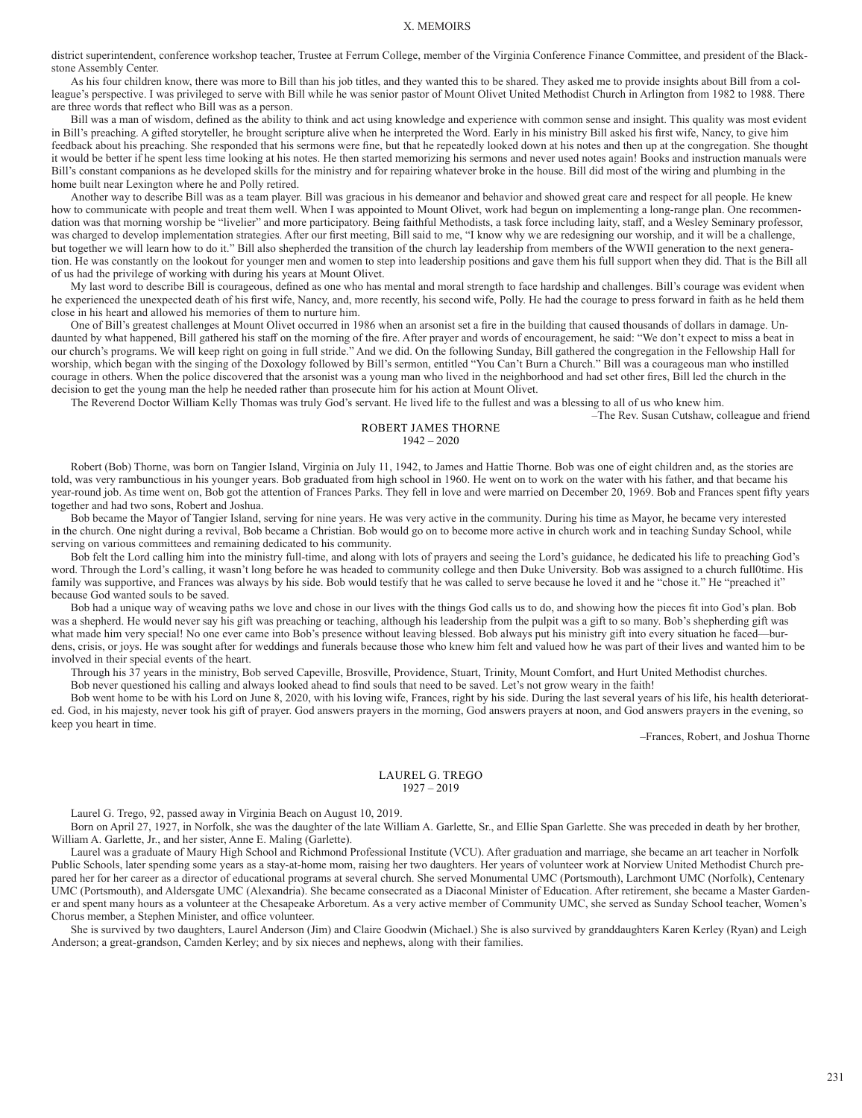district superintendent, conference workshop teacher, Trustee at Ferrum College, member of the Virginia Conference Finance Committee, and president of the Blackstone Assembly Center.

As his four children know, there was more to Bill than his job titles, and they wanted this to be shared. They asked me to provide insights about Bill from a colleague's perspective. I was privileged to serve with Bill while he was senior pastor of Mount Olivet United Methodist Church in Arlington from 1982 to 1988. There are three words that reflect who Bill was as a person.

Bill was a man of wisdom, defined as the ability to think and act using knowledge and experience with common sense and insight. This quality was most evident in Bill's preaching. A gifted storyteller, he brought scripture alive when he interpreted the Word. Early in his ministry Bill asked his first wife, Nancy, to give him feedback about his preaching. She responded that his sermons were fine, but that he repeatedly looked down at his notes and then up at the congregation. She thought it would be better if he spent less time looking at his notes. He then started memorizing his sermons and never used notes again! Books and instruction manuals were Bill's constant companions as he developed skills for the ministry and for repairing whatever broke in the house. Bill did most of the wiring and plumbing in the home built near Lexington where he and Polly retired.

Another way to describe Bill was as a team player. Bill was gracious in his demeanor and behavior and showed great care and respect for all people. He knew how to communicate with people and treat them well. When I was appointed to Mount Olivet, work had begun on implementing a long-range plan. One recommendation was that morning worship be "livelier" and more participatory. Being faithful Methodists, a task force including laity, staff, and a Wesley Seminary professor, was charged to develop implementation strategies. After our first meeting, Bill said to me, "I know why we are redesigning our worship, and it will be a challenge, but together we will learn how to do it." Bill also shepherded the transition of the church lay leadership from members of the WWII generation to the next generation. He was constantly on the lookout for younger men and women to step into leadership positions and gave them his full support when they did. That is the Bill all of us had the privilege of working with during his years at Mount Olivet.

My last word to describe Bill is courageous, defined as one who has mental and moral strength to face hardship and challenges. Bill's courage was evident when he experienced the unexpected death of his first wife, Nancy, and, more recently, his second wife, Polly. He had the courage to press forward in faith as he held them close in his heart and allowed his memories of them to nurture him.

One of Bill's greatest challenges at Mount Olivet occurred in 1986 when an arsonist set a fire in the building that caused thousands of dollars in damage. Undaunted by what happened, Bill gathered his staff on the morning of the fire. After prayer and words of encouragement, he said: "We don't expect to miss a beat in our church's programs. We will keep right on going in full stride." And we did. On the following Sunday, Bill gathered the congregation in the Fellowship Hall for worship, which began with the singing of the Doxology followed by Bill's sermon, entitled "You Can't Burn a Church." Bill was a courageous man who instilled courage in others. When the police discovered that the arsonist was a young man who lived in the neighborhood and had set other fires, Bill led the church in the decision to get the young man the help he needed rather than prosecute him for his action at Mount Olivet.

The Reverend Doctor William Kelly Thomas was truly God's servant. He lived life to the fullest and was a blessing to all of us who knew him.

–The Rev. Susan Cutshaw, colleague and friend

# ROBERT JAMES THORNE  $1942 - 2020$

Robert (Bob) Thorne, was born on Tangier Island, Virginia on July 11, 1942, to James and Hattie Thorne. Bob was one of eight children and, as the stories are told, was very rambunctious in his younger years. Bob graduated from high school in 1960. He went on to work on the water with his father, and that became his year-round job. As time went on, Bob got the attention of Frances Parks. They fell in love and were married on December 20, 1969. Bob and Frances spent fifty years together and had two sons, Robert and Joshua.

Bob became the Mayor of Tangier Island, serving for nine years. He was very active in the community. During his time as Mayor, he became very interested in the church. One night during a revival, Bob became a Christian. Bob would go on to become more active in church work and in teaching Sunday School, while serving on various committees and remaining dedicated to his community.

Bob felt the Lord calling him into the ministry full-time, and along with lots of prayers and seeing the Lord's guidance, he dedicated his life to preaching God's word. Through the Lord's calling, it wasn't long before he was headed to community college and then Duke University. Bob was assigned to a church full0time. His family was supportive, and Frances was always by his side. Bob would testify that he was called to serve because he loved it and he "chose it." He "preached it" because God wanted souls to be saved.

Bob had a unique way of weaving paths we love and chose in our lives with the things God calls us to do, and showing how the pieces fit into God's plan. Bob was a shepherd. He would never say his gift was preaching or teaching, although his leadership from the pulpit was a gift to so many. Bob's shepherding gift was what made him very special! No one ever came into Bob's presence without leaving blessed. Bob always put his ministry gift into every situation he faced—burdens, crisis, or joys. He was sought after for weddings and funerals because those who knew him felt and valued how he was part of their lives and wanted him to be involved in their special events of the heart.

Through his 37 years in the ministry, Bob served Capeville, Brosville, Providence, Stuart, Trinity, Mount Comfort, and Hurt United Methodist churches. Bob never questioned his calling and always looked ahead to find souls that need to be saved. Let's not grow weary in the faith!

Bob went home to be with his Lord on June 8, 2020, with his loving wife, Frances, right by his side. During the last several years of his life, his health deteriorated. God, in his majesty, never took his gift of prayer. God answers prayers in the morning, God answers prayers at noon, and God answers prayers in the evening, so keep you heart in time.

–Frances, Robert, and Joshua Thorne

# LAUREL G. TREGO 1927 – 2019

Laurel G. Trego, 92, passed away in Virginia Beach on August 10, 2019.

Born on April 27, 1927, in Norfolk, she was the daughter of the late William A. Garlette, Sr., and Ellie Span Garlette. She was preceded in death by her brother, William A. Garlette, Jr., and her sister, Anne E. Maling (Garlette).

Laurel was a graduate of Maury High School and Richmond Professional Institute (VCU). After graduation and marriage, she became an art teacher in Norfolk Public Schools, later spending some years as a stay-at-home mom, raising her two daughters. Her years of volunteer work at Norview United Methodist Church prepared her for her career as a director of educational programs at several church. She served Monumental UMC (Portsmouth), Larchmont UMC (Norfolk), Centenary UMC (Portsmouth), and Aldersgate UMC (Alexandria). She became consecrated as a Diaconal Minister of Education. After retirement, she became a Master Gardener and spent many hours as a volunteer at the Chesapeake Arboretum. As a very active member of Community UMC, she served as Sunday School teacher, Women's Chorus member, a Stephen Minister, and office volunteer.

She is survived by two daughters, Laurel Anderson (Jim) and Claire Goodwin (Michael.) She is also survived by granddaughters Karen Kerley (Ryan) and Leigh Anderson; a great-grandson, Camden Kerley; and by six nieces and nephews, along with their families.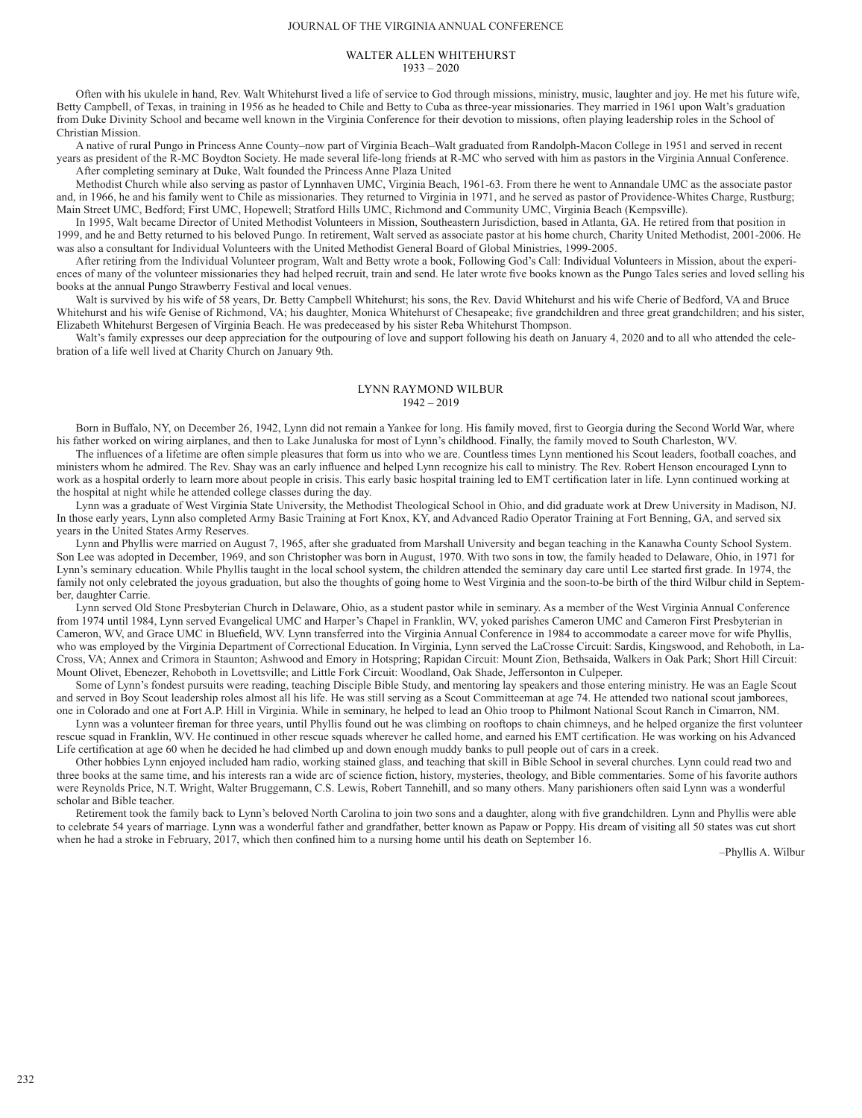### JOURNAL OF THE VIRGINIA ANNUAL CONFERENCE

### WALTER ALLEN WHITEHURST 1933 – 2020

Often with his ukulele in hand, Rev. Walt Whitehurst lived a life of service to God through missions, ministry, music, laughter and joy. He met his future wife, Betty Campbell, of Texas, in training in 1956 as he headed to Chile and Betty to Cuba as three-year missionaries. They married in 1961 upon Walt's graduation from Duke Divinity School and became well known in the Virginia Conference for their devotion to missions, often playing leadership roles in the School of Christian Mission.

A native of rural Pungo in Princess Anne County–now part of Virginia Beach–Walt graduated from Randolph-Macon College in 1951 and served in recent years as president of the R-MC Boydton Society. He made several life-long friends at R-MC who served with him as pastors in the Virginia Annual Conference. After completing seminary at Duke, Walt founded the Princess Anne Plaza United

Methodist Church while also serving as pastor of Lynnhaven UMC, Virginia Beach, 1961-63. From there he went to Annandale UMC as the associate pastor and, in 1966, he and his family went to Chile as missionaries. They returned to Virginia in 1971, and he served as pastor of Providence-Whites Charge, Rustburg; Main Street UMC, Bedford; First UMC, Hopewell; Stratford Hills UMC, Richmond and Community UMC, Virginia Beach (Kempsville).

In 1995, Walt became Director of United Methodist Volunteers in Mission, Southeastern Jurisdiction, based in Atlanta, GA. He retired from that position in 1999, and he and Betty returned to his beloved Pungo. In retirement, Walt served as associate pastor at his home church, Charity United Methodist, 2001-2006. He was also a consultant for Individual Volunteers with the United Methodist General Board of Global Ministries, 1999-2005.

After retiring from the Individual Volunteer program, Walt and Betty wrote a book, Following God's Call: Individual Volunteers in Mission, about the experiences of many of the volunteer missionaries they had helped recruit, train and send. He later wrote five books known as the Pungo Tales series and loved selling his books at the annual Pungo Strawberry Festival and local venues.

Walt is survived by his wife of 58 years, Dr. Betty Campbell Whitehurst; his sons, the Rev. David Whitehurst and his wife Cherie of Bedford, VA and Bruce Whitehurst and his wife Genise of Richmond, VA; his daughter, Monica Whitehurst of Chesapeake; five grandchildren and three great grandchildren; and his sister, Elizabeth Whitehurst Bergesen of Virginia Beach. He was predeceased by his sister Reba Whitehurst Thompson.

Walt's family expresses our deep appreciation for the outpouring of love and support following his death on January 4, 2020 and to all who attended the celebration of a life well lived at Charity Church on January 9th.

# LYNN RAYMOND WILBUR 1942 – 2019

Born in Buffalo, NY, on December 26, 1942, Lynn did not remain a Yankee for long. His family moved, first to Georgia during the Second World War, where his father worked on wiring airplanes, and then to Lake Junaluska for most of Lynn's childhood. Finally, the family moved to South Charleston, WV.

The influences of a lifetime are often simple pleasures that form us into who we are. Countless times Lynn mentioned his Scout leaders, football coaches, and ministers whom he admired. The Rev. Shay was an early influence and helped Lynn recognize his call to ministry. The Rev. Robert Henson encouraged Lynn to work as a hospital orderly to learn more about people in crisis. This early basic hospital training led to EMT certification later in life. Lynn continued working at the hospital at night while he attended college classes during the day.

Lynn was a graduate of West Virginia State University, the Methodist Theological School in Ohio, and did graduate work at Drew University in Madison, NJ. In those early years, Lynn also completed Army Basic Training at Fort Knox, KY, and Advanced Radio Operator Training at Fort Benning, GA, and served six years in the United States Army Reserves.

Lynn and Phyllis were married on August 7, 1965, after she graduated from Marshall University and began teaching in the Kanawha County School System. Son Lee was adopted in December, 1969, and son Christopher was born in August, 1970. With two sons in tow, the family headed to Delaware, Ohio, in 1971 for Lynn's seminary education. While Phyllis taught in the local school system, the children attended the seminary day care until Lee started first grade. In 1974, the family not only celebrated the joyous graduation, but also the thoughts of going home to West Virginia and the soon-to-be birth of the third Wilbur child in September, daughter Carrie.

Lynn served Old Stone Presbyterian Church in Delaware, Ohio, as a student pastor while in seminary. As a member of the West Virginia Annual Conference from 1974 until 1984, Lynn served Evangelical UMC and Harper's Chapel in Franklin, WV, yoked parishes Cameron UMC and Cameron First Presbyterian in Cameron, WV, and Grace UMC in Bluefield, WV. Lynn transferred into the Virginia Annual Conference in 1984 to accommodate a career move for wife Phyllis, who was employed by the Virginia Department of Correctional Education. In Virginia, Lynn served the LaCrosse Circuit: Sardis, Kingswood, and Rehoboth, in La-Cross, VA; Annex and Crimora in Staunton; Ashwood and Emory in Hotspring; Rapidan Circuit: Mount Zion, Bethsaida, Walkers in Oak Park; Short Hill Circuit: Mount Olivet, Ebenezer, Rehoboth in Lovettsville; and Little Fork Circuit: Woodland, Oak Shade, Jeffersonton in Culpeper.

Some of Lynn's fondest pursuits were reading, teaching Disciple Bible Study, and mentoring lay speakers and those entering ministry. He was an Eagle Scout and served in Boy Scout leadership roles almost all his life. He was still serving as a Scout Committeeman at age 74. He attended two national scout jamborees, one in Colorado and one at Fort A.P. Hill in Virginia. While in seminary, he helped to lead an Ohio troop to Philmont National Scout Ranch in Cimarron, NM.

Lynn was a volunteer fireman for three years, until Phyllis found out he was climbing on rooftops to chain chimneys, and he helped organize the first volunteer rescue squad in Franklin, WV. He continued in other rescue squads wherever he called home, and earned his EMT certification. He was working on his Advanced Life certification at age 60 when he decided he had climbed up and down enough muddy banks to pull people out of cars in a creek.

Other hobbies Lynn enjoyed included ham radio, working stained glass, and teaching that skill in Bible School in several churches. Lynn could read two and three books at the same time, and his interests ran a wide arc of science fiction, history, mysteries, theology, and Bible commentaries. Some of his favorite authors were Reynolds Price, N.T. Wright, Walter Bruggemann, C.S. Lewis, Robert Tannehill, and so many others. Many parishioners often said Lynn was a wonderful scholar and Bible teacher.

Retirement took the family back to Lynn's beloved North Carolina to join two sons and a daughter, along with five grandchildren. Lynn and Phyllis were able to celebrate 54 years of marriage. Lynn was a wonderful father and grandfather, better known as Papaw or Poppy. His dream of visiting all 50 states was cut short when he had a stroke in February, 2017, which then confined him to a nursing home until his death on September 16.

–Phyllis A. Wilbur